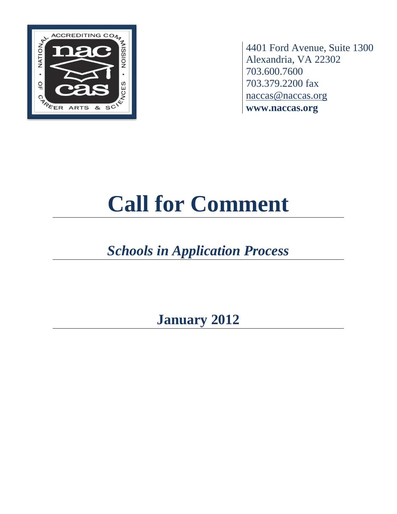

4401 Ford Avenue, Suite 1300 Alexandria, VA 22302 703.600.7600 703.379.2200 fax [naccas@naccas.org](mailto:naccas@naccas.org) **www.naccas.org**

# **Call for Comment**

## *Schools in Application Process*

**January 2012**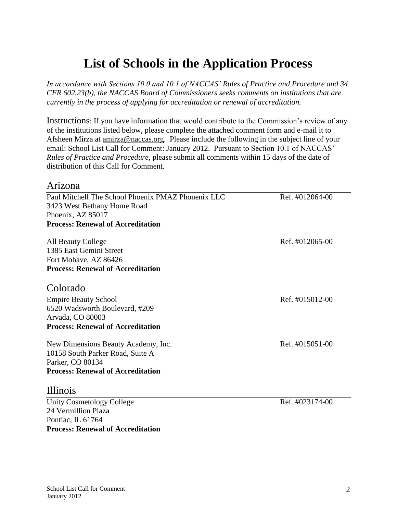## **List of Schools in the Application Process**

*In accordance with Sections 10.0 and 10.1 of NACCAS' Rules of Practice and Procedure and 34 CFR 602.23(b), the NACCAS Board of Commissioners seeks comments on institutions that are currently in the process of applying for accreditation or renewal of accreditation.*

Instructions: If you have information that would contribute to the Commission's review of any of the institutions listed below, please complete the attached comment form and e-mail it to Afsheen Mirza at [amirza@naccas.org.](mailto:amirza@naccas.org) Please include the following in the subject line of your email: School List Call for Comment: January 2012. Pursuant to Section 10.1 of NACCAS' *Rules of Practice and Procedure*, please submit all comments within 15 days of the date of distribution of this Call for Comment.

#### Arizona Paul Mitchell The School Phoenix PMAZ Phonenix LLC Ref. #012064-00 3423 West Bethany Home Road Phoenix, AZ 85017 **Process: Renewal of Accreditation** All Beauty College **Ref.** #012065-00 1385 East Gemini Street Fort Mohave, AZ 86426 **Process: Renewal of Accreditation** Colorado Empire Beauty School Ref. #015012-00 6520 Wadsworth Boulevard, #209 Arvada, CO 80003 **Process: Renewal of Accreditation** New Dimensions Beauty Academy, Inc. Ref. #015051-00 10158 South Parker Road, Suite A Parker, CO 80134 **Process: Renewal of Accreditation** Illinois Unity Cosmetology College Ref. #023174-00 24 Vermillion Plaza

**Process: Renewal of Accreditation**

Pontiac, IL 61764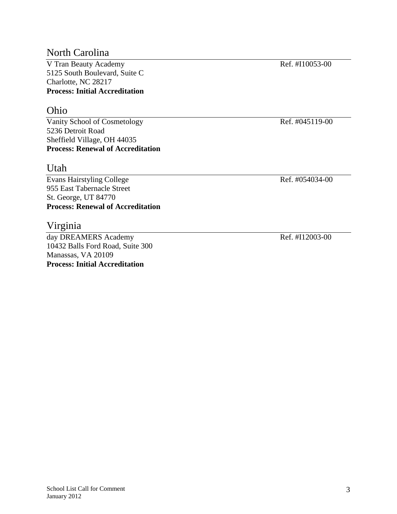#### North Carolina

V Tran Beauty Academy Ref. #I10053-00 5125 South Boulevard, Suite C Charlotte, NC 28217 **Process: Initial Accreditation**

#### Ohio

Vanity School of Cosmetology Ref. #045119-00 5236 Detroit Road Sheffield Village, OH 44035 **Process: Renewal of Accreditation**

#### Utah

Evans Hairstyling College Ref. #054034-00 955 East Tabernacle Street St. George, UT 84770 **Process: Renewal of Accreditation**

#### Virginia

day DREAMERS Academy Ref. #I12003-00 10432 Balls Ford Road, Suite 300 Manassas, VA 20109 **Process: Initial Accreditation**